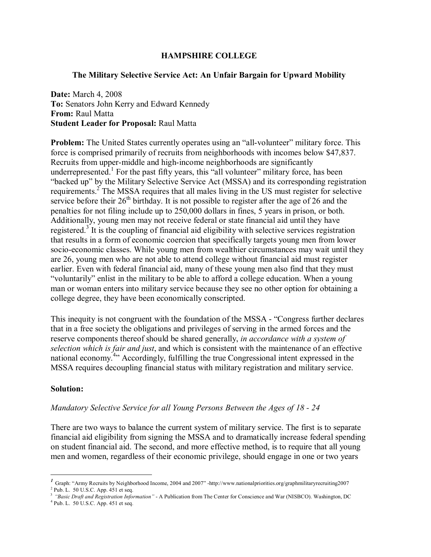# **HAMPSHIRE COLLEGE**

# **The Military Selective Service Act: An Unfair Bargain for Upward Mobility**

**Date:** March 4, 2008 **To:** Senators John Kerry and Edward Kennedy **From:** Raul Matta **Student Leader for Proposal:** Raul Matta

**Problem:** The United States currently operates using an "all-volunteer" military force. This force is comprised primarily of recruits from neighborhoods with incomes below \$47,837. Recruits from upper-middle and high-income neighborhoods are significantly underrepresented.<sup>1</sup> For the past fifty years, this "all volunteer" military force, has been ìbacked upî by the Military Selective Service Act (MSSA) and its corresponding registration requirements.<sup>2</sup> The MSSA requires that all males living in the US must register for selective service before their  $26<sup>th</sup>$  birthday. It is not possible to register after the age of 26 and the penalties for not filing include up to 250,000 dollars in fines, 5 years in prison, or both. Additionally, young men may not receive federal or state financial aid until they have registered.<sup>3</sup> It is the coupling of financial aid eligibility with selective services registration that results in a form of economic coercion that specifically targets young men from lower socio-economic classes. While young men from wealthier circumstances may wait until they are 26, young men who are not able to attend college without financial aid must register earlier. Even with federal financial aid, many of these young men also find that they must ìvoluntarilyî enlist in the military to be able to afford a college education. When a young man or woman enters into military service because they see no other option for obtaining a college degree, they have been economically conscripted.

This inequity is not congruent with the foundation of the MSSA - "Congress further declares" that in a free society the obligations and privileges of serving in the armed forces and the reserve components thereof should be shared generally, *in accordance with a system of selection which is fair and just*, and which is consistent with the maintenance of an effective national economy.<sup>4</sup><sup>3</sup> Accordingly, fulfilling the true Congressional intent expressed in the MSSA requires decoupling financial status with military registration and military service.

### **Solution:**

 $\overline{a}$ 

### *Mandatory Selective Service for all Young Persons Between the Ages of 18 - 24*

There are two ways to balance the current system of military service. The first is to separate financial aid eligibility from signing the MSSA and to dramatically increase federal spending on student financial aid. The second, and more effective method, is to require that all young men and women, regardless of their economic privilege, should engage in one or two years

<sup>&</sup>lt;sup>1</sup> Graph: "Army Recruits by Neighborhood Income, 2004 and 2007" -http://www.nationalpriorities.org/graphmilitaryrecruiting2007

 $2$  Pub. L. 50 U.S.C. App. 451 et seq.

<sup>&</sup>lt;sup>3</sup> *iBasic Draft and Registration Information*<sup>*n*</sup> - A Publication from The Center for Conscience and War (NISBCO). Washington, DC

 $4$  Pub. L. 50 U.S.C. App. 451 et seq.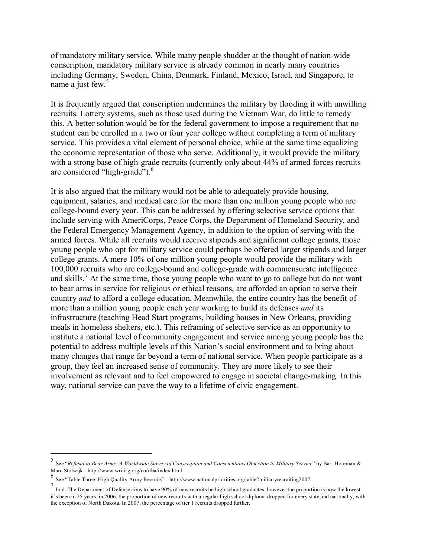of mandatory military service. While many people shudder at the thought of nation-wide conscription, mandatory military service is already common in nearly many countries including Germany, Sweden, China, Denmark, Finland, Mexico, Israel, and Singapore, to name a just few. $5$ 

It is frequently argued that conscription undermines the military by flooding it with unwilling recruits. Lottery systems, such as those used during the Vietnam War, do little to remedy this. A better solution would be for the federal government to impose a requirement that no student can be enrolled in a two or four year college without completing a term of military service. This provides a vital element of personal choice, while at the same time equalizing the economic representation of those who serve. Additionally, it would provide the military with a strong base of high-grade recruits (currently only about 44% of armed forces recruits are considered "high-grade" $)$ .<sup>6</sup>

It is also argued that the military would not be able to adequately provide housing, equipment, salaries, and medical care for the more than one million young people who are college-bound every year. This can be addressed by offering selective service options that include serving with AmeriCorps, Peace Corps, the Department of Homeland Security, and the Federal Emergency Management Agency, in addition to the option of serving with the armed forces. While all recruits would receive stipends and significant college grants, those young people who opt for military service could perhaps be offered larger stipends and larger college grants. A mere 10% of one million young people would provide the military with 100,000 recruits who are college-bound and college-grade with commensurate intelligence and skills.<sup>7</sup> At the same time, those young people who want to go to college but do not want to bear arms in service for religious or ethical reasons, are afforded an option to serve their country *and* to afford a college education. Meanwhile, the entire country has the benefit of more than a million young people each year working to build its defenses *and* its infrastructure (teaching Head Start programs, building houses in New Orleans, providing meals in homeless shelters, etc.). This reframing of selective service as an opportunity to institute a national level of community engagement and service among young people has the potential to address multiple levels of this Nation's social environment and to bring about many changes that range far beyond a term of national service. When people participate as a group, they feel an increased sense of community. They are more likely to see their involvement as relevant and to feel empowered to engage in societal change-making. In this way, national service can pave the way to a lifetime of civic engagement.

 $\overline{a}$ 

<sup>5</sup> See "Refusal to Bear Arms: A Worldwide Survey of Conscription and Conscientious Objection to Military Service" by Bart Horeman & Marc Stolwijk - http://www.wri-irg.org/co/rtba/index.html

<sup>6</sup> See ìTable Three: High Quality Army Recruitsî - http://www.nationalpriorities.org/table2militaryrecruiting2007

<sup>&</sup>lt;sup>7</sup> Ibid. The Department of Defense aims to have 90% of new recruits be high school graduates, however the proportion is now the lowest it's been in 25 years. in 2006, the proportion of new recruits with a regular high school diploma dropped for every state and nationally, with the exception of North Dakota. In 2007, the percentage of tier 1 recruits dropped further.